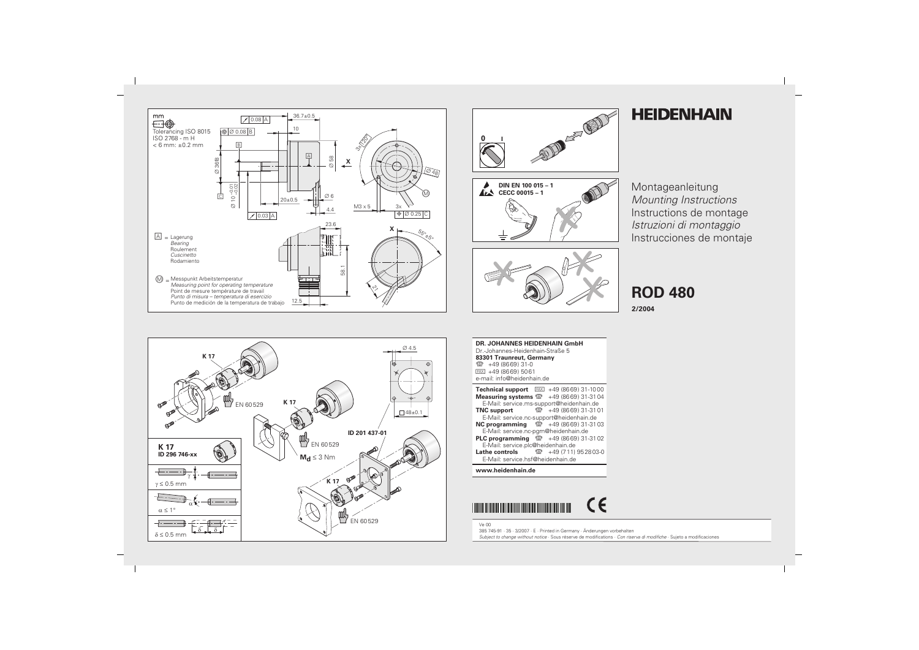



## **HEIDENHAIN**

Montageanleitung Mounting Instructions Instructions de montage Istruzioni di montaggio Instrucciones de montaje

**ROD 480** 

2/2004



**DR. JOHANNES HEIDENHAIN GmbH** Dr.-Johannes-Heidenhain-Straße 5 83301 Traunreut, Germany <sup>2</sup> +49 (8669) 31-0  $FAX$  +49 (8669) 5061 e-mail: info@heidenhain.de

| <b>Technical support</b> $E[X] + 49(8669)31-1000$         |                      |
|-----------------------------------------------------------|----------------------|
| <b>Measuring systems</b> $\circled{2}$ +49 (8669) 31-3104 |                      |
| E-Mail: service.ms-support@heidenhain.de                  |                      |
| <b>TNC support</b>                                        | ම +49 (8669) 31-3101 |
| E-Mail: service.nc-support@heidenhain.de                  |                      |
| <b>NC programming</b> $\circledcirc$ +49 (8669) 31-3103   |                      |
| E-Mail: service.nc-pgm@heidenhain.de                      |                      |
| <b>PLC programming</b> $\circledcirc$ +49 (8669) 31-3102  |                      |
| E-Mail: service.plc@heidenhain.de                         |                      |
| <b>Lathe controls</b> $\circled{2}$ +49 (711) 952803-0    |                      |
| E-Mail: service.hsf@heidenhain.de                         |                      |

## www.heidenhain.de

**Ve 00** 



385 745-91 · 35 · 3/2007 · E · Printed in Germany · Änderungen vorbehalten Subject to change without notice · Sous réserve de modifications · Con riserva di modifiche · Sujeto a modificaciones